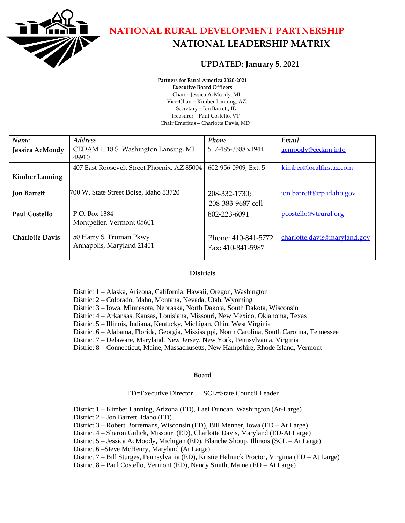

**NATIONAL RURAL DEVELOPMENT PARTNERSHIP NATIONAL LEADERSHIP MATRIX**

## **UPDATED: January 5, 2021**

**Partners for Rural America 2020-2021 Executive Board Officers** Chair – Jessica AcMoody, MI Vice-Chair – Kimber Lanning, AZ Secretary – Jon Barrett, ID Treasurer – Paul Costello, VT Chair Emeritus – Charlotte Davis, MD

| Name                   | <b>Address</b>                                       | Phone                                    | Email                        |
|------------------------|------------------------------------------------------|------------------------------------------|------------------------------|
| Jessica AcMoody        | CEDAM 1118 S. Washington Lansing, MI<br>48910        | 517-485-3588 x1944                       | acmoody@cedam.info           |
| <b>Kimber Lanning</b>  | 407 East Roosevelt Street Phoenix, AZ 85004          | 602-956-0909, Ext. 5                     | kimber@localfirstaz.com      |
| <b>Jon Barrett</b>     | 700 W. State Street Boise, Idaho 83720               | 208-332-1730;<br>208-383-9687 cell       | jon.barrett@irp.idaho.gov    |
| Paul Costello          | P.O. Box 1384<br>Montpelier, Vermont 05601           | 802-223-6091                             | pcostello@vtrural.org        |
| <b>Charlotte Davis</b> | 50 Harry S. Truman Pkwy<br>Annapolis, Maryland 21401 | Phone: 410-841-5772<br>Fax: 410-841-5987 | charlotte.davis@maryland.gov |

## **Districts**

District 1 – Alaska, Arizona, California, Hawaii, Oregon, Washington

District 2 – Colorado, Idaho, Montana, Nevada, Utah, Wyoming

District 3 – Iowa, Minnesota, Nebraska, North Dakota, South Dakota, Wisconsin

District 4 – Arkansas, Kansas, Louisiana, Missouri, New Mexico, Oklahoma, Texas

- District 5 Illinois, Indiana, Kentucky, Michigan, Ohio, West Virginia
- District 6 Alabama, Florida, Georgia, Mississippi, North Carolina, South Carolina, Tennessee
- District 7 Delaware, Maryland, New Jersey, New York, Pennsylvania, Virginia

District 8 – Connecticut, Maine, Massachusetts, New Hampshire, Rhode Island, Vermont

## **Board**

ED=Executive Director SCL=State Council Leader

District 1 – Kimber Lanning, Arizona (ED), Lael Duncan, Washington (At-Large)

District 2 – Jon Barrett, Idaho (ED)

District 3 – Robert Borremans, Wisconsin (ED), Bill Menner, Iowa (ED – At Large)

District 4 – Sharon Gulick, Missouri (ED), Charlotte Davis, Maryland (ED-At Large)

District 5 – Jessica AcMoody, Michigan (ED), Blanche Shoup, Illinois (SCL – At Large)

District 6 –Steve McHenry, Maryland (At Large)

District 7 – Bill Sturges, Pennsylvania (ED), Kristie Helmick Proctor, Virginia (ED – At Large)

District 8 – Paul Costello, Vermont (ED), Nancy Smith, Maine (ED – At Large)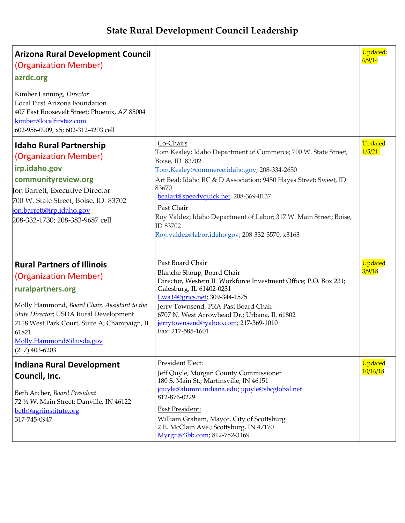## **State Rural Development Council Leadership**

| <b>Arizona Rural Development Council</b><br>(Organization Member)<br>azrdc.org                                                                                                                                                                                                      |                                                                                                                                                                                                                                                                                                                                                                                                                       | <b>Updated:</b><br>6/9/14 |
|-------------------------------------------------------------------------------------------------------------------------------------------------------------------------------------------------------------------------------------------------------------------------------------|-----------------------------------------------------------------------------------------------------------------------------------------------------------------------------------------------------------------------------------------------------------------------------------------------------------------------------------------------------------------------------------------------------------------------|---------------------------|
| Kimber Lanning, Director<br>Local First Arizona Foundation<br>407 East Roosevelt Street; Phoenix, AZ 85004<br>kimber@localfirstaz.com<br>602-956-0909, x5; 602-312-4203 cell                                                                                                        |                                                                                                                                                                                                                                                                                                                                                                                                                       |                           |
| <b>Idaho Rural Partnership</b><br>(Organization Member)<br>irp.idaho.gov<br>communityreview.org<br>Jon Barrett, Executive Director<br>700 W. State Street, Boise, ID 83702<br>jon.barrett@irp.idaho.gov<br>208-332-1730; 208-383-9687 cell                                          | Co-Chairs<br>Tom Kealey; Idaho Department of Commerce; 700 W. State Street,<br>Boise, ID 83702<br>Tom.Kealey@commerce.idaho.gov; 208-334-2650<br>Art Beal; Idaho RC & D Association; 9450 Hayes Street; Sweet, ID<br>83670<br>bealart@speedyquick.net; 208-369-0137<br>Past Chair<br>Roy Valdez; Idaho Department of Labor; 317 W. Main Street; Boise,<br>ID 83702<br>Roy.valdez@labor.idaho.gov; 208-332-3570, x3163 | Updated<br>1/5/21         |
| <b>Rural Partners of Illinois</b><br>(Organization Member)<br>ruralpartners.org<br>Molly Hammond, Board Chair, Assistant to the<br>State Director; USDA Rural Development<br>2118 West Park Court, Suite A; Champaign, IL<br>61821<br>Molly.Hammond@il.usda.gov<br>$(217)$ 403-6203 | Past Board Chair<br>Blanche Shoup, Board Chair<br>Director, Western IL Workforce Investment Office; P.O. Box 231;<br>Galesburg, IL 61402-0231<br>Lwa14@grics.net; 309-344-1575<br>Jerry Townsend, PRA Past Board Chair<br>6707 N. West Arrowhead Dr.; Urbana, IL 61802<br>jerrytownsend@yahoo.com; 217-369-1010<br>Fax: 217-585-1601                                                                                  | Updated<br>3/9/18         |
| <b>Indiana Rural Development</b><br>Council, Inc.<br>Beth Archer, Board President<br>72 1/2 W. Main Street; Danville, IN 46122<br>beth@agriinstitute.org<br>317-745-0947                                                                                                            | President Elect:<br>Jeff Quyle, Morgan County Commissioner<br>180 S. Main St.; Martinsville, IN 46151<br>jquyle@alumni.indiana.edu; jquyle@sbcglobal.net<br>812-876-0229<br>Past President:<br>William Graham, Mayor, City of Scottsburg<br>2 E. McClain Ave.; Scottsburg, IN 47170<br>Myrgr@c3bb.com; 812-752-3169                                                                                                   | Updated<br>10/16/18       |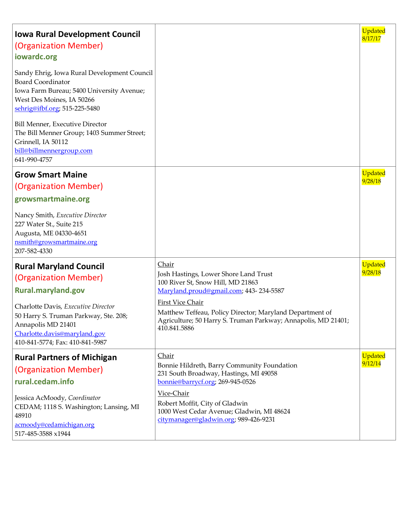| <b>Iowa Rural Development Council</b><br>(Organization Member)<br>iowardc.org                                                                                                      |                                                                                                                                                                      | Updated<br>8/17/17 |
|------------------------------------------------------------------------------------------------------------------------------------------------------------------------------------|----------------------------------------------------------------------------------------------------------------------------------------------------------------------|--------------------|
| Sandy Ehrig, Iowa Rural Development Council<br><b>Board Coordinator</b><br>Iowa Farm Bureau; 5400 University Avenue;<br>West Des Moines, IA 50266<br>sehrig@ifbf.org; 515-225-5480 |                                                                                                                                                                      |                    |
| Bill Menner, Executive Director<br>The Bill Menner Group; 1403 Summer Street;<br>Grinnell, IA 50112<br>bill@billmennergroup.com<br>641-990-4757                                    |                                                                                                                                                                      |                    |
| <b>Grow Smart Maine</b>                                                                                                                                                            |                                                                                                                                                                      | Updated            |
| (Organization Member)                                                                                                                                                              |                                                                                                                                                                      | 9/28/18            |
| growsmartmaine.org                                                                                                                                                                 |                                                                                                                                                                      |                    |
| Nancy Smith, Executive Director<br>227 Water St., Suite 215<br>Augusta, ME 04330-4651<br>nsmith@growsmartmaine.org<br>207-582-4330                                                 |                                                                                                                                                                      |                    |
| <b>Rural Maryland Council</b>                                                                                                                                                      | Chair                                                                                                                                                                | Updated            |
| (Organization Member)                                                                                                                                                              | Josh Hastings, Lower Shore Land Trust<br>100 River St, Snow Hill, MD 21863                                                                                           | 9/28/18            |
| <b>Rural.maryland.gov</b>                                                                                                                                                          | Maryland.proud@gmail.com; 443-234-5587                                                                                                                               |                    |
| Charlotte Davis, Executive Director<br>50 Harry S. Truman Parkway, Ste. 208;<br>Annapolis MD 21401<br>Charlotte.davis@maryland.gov<br>410-841-5774; Fax: 410-841-5987              | <b>First Vice Chair</b><br>Matthew Teffeau, Policy Director; Maryland Department of<br>Agriculture; 50 Harry S. Truman Parkway; Annapolis, MD 21401;<br>410.841.5886 |                    |
| <b>Rural Partners of Michigan</b>                                                                                                                                                  | Chair                                                                                                                                                                | Updated            |
| (Organization Member)                                                                                                                                                              | Bonnie Hildreth, Barry Community Foundation<br>231 South Broadway, Hastings, MI 49058                                                                                | 9/12/14            |
| rural.cedam.info                                                                                                                                                                   | bonnie@barrycf.org; 269-945-0526                                                                                                                                     |                    |
| Jessica AcMoody, Coordinator<br>CEDAM; 1118 S. Washington; Lansing, MI<br>48910<br>acmoody@cedamichigan.org<br>517-485-3588 x1944                                                  | Vice-Chair<br>Robert Moffit, City of Gladwin<br>1000 West Cedar Avenue; Gladwin, MI 48624<br>citymanager@gladwin.org; 989-426-9231                                   |                    |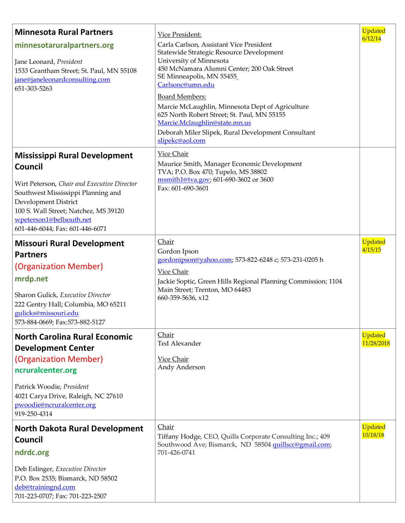| <b>Minnesota Rural Partners</b>                                                                                                                                                                                                                                      | Vice President:                                                                                                                                                                                                                    | <b>Updated</b><br>6/12/14 |
|----------------------------------------------------------------------------------------------------------------------------------------------------------------------------------------------------------------------------------------------------------------------|------------------------------------------------------------------------------------------------------------------------------------------------------------------------------------------------------------------------------------|---------------------------|
| minnesotaruralpartners.org<br>Jane Leonard, President<br>1533 Grantham Street; St. Paul, MN 55108<br>jane@janeleonardconsulting.com<br>651-303-5263                                                                                                                  | Carla Carlson, Assistant Vice President<br>Statewide Strategic Resource Development<br>University of Minnesota<br>450 McNamara Alumni Center; 200 Oak Street<br>SE Minneapolis, MN 55455<br>Carlsonc@umn.edu                       |                           |
|                                                                                                                                                                                                                                                                      | <b>Board Members:</b><br>Marcie McLaughlin, Minnesota Dept of Agriculture<br>625 North Robert Street; St. Paul, MN 55155<br>Marcie.Mclaughlin@state.mn.us<br>Deborah Miler Slipek, Rural Development Consultant<br>slipekc@aol.com |                           |
| <b>Mississippi Rural Development</b><br>Council<br>Wirt Peterson, Chair and Executive Director<br>Southwest Mississippi Planning and<br>Development District<br>100 S. Wall Street; Natchez, MS 39120<br>wpeterson1@bellsouth.net<br>601-446-6044; Fax: 601-446-6071 | Vice Chair<br>Maurice Smith, Manager Economic Development<br>TVA; P.O. Box 470; Tupelo, MS 38802<br>msmith1@tva.gov; 601-690-3602 or 3600<br>Fax: 601-690-3601                                                                     |                           |
| <b>Missouri Rural Development</b><br><b>Partners</b><br>(Organization Member)<br>mrdp.net<br>Sharon Gulick, Executive Director<br>222 Gentry Hall; Columbia, MO 65211<br>gulicks@missouri.edu<br>573-884-0669; Fax:573-882-5127                                      | Chair<br>Gordon Ipson<br>gordonipson@yahoo.com; 573-822-6248 c; 573-231-0205 h<br><b>Vice Chair</b><br>Jackie Soptic, Green Hills Regional Planning Commission; 1104<br>Main Street; Trenton, MO 64483<br>660-359-5636, x12        | <b>Updated</b><br>4/15/15 |
| <b>North Carolina Rural Economic</b><br><b>Development Center</b><br>(Organization Member)<br>ncruralcenter.org<br>Patrick Woodie, President<br>4021 Carya Drive, Raleigh, NC 27610<br>pwoodie@ncruralcenter.org<br>919-250-4314                                     | Chair<br>Ted Alexander<br><b>Vice Chair</b><br>Andy Anderson                                                                                                                                                                       | Updated<br>11/28/2018     |
| <b>North Dakota Rural Development</b><br><b>Council</b><br>ndrdc.org<br>Deb Eslinger, Executive Director<br>P.O. Box 2535; Bismarck, ND 58502<br>deb@trainingnd.com<br>701-223-0707; Fax: 701-223-2507                                                               | Chair<br>Tiffany Hodge, CEO, Quills Corporate Consulting Inc.; 409<br>Southwood Ave; Bismarck, ND 58504 quillscc@gmail.com;<br>701-426-0741                                                                                        | Updated<br>10/18/18       |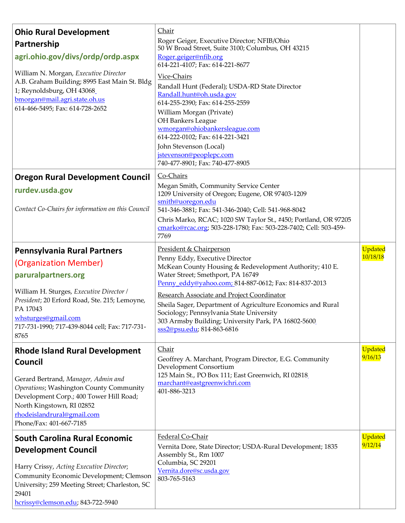| <b>Ohio Rural Development</b><br>Partnership<br>agri.ohio.gov/divs/ordp/ordp.aspx<br>William N. Morgan, Executive Director<br>A.B. Graham Building; 8995 East Main St. Bldg<br>1; Reynoldsburg, OH 43068<br>bmorgan@mail.agri.state.oh.us<br>614-466-5495; Fax: 614-728-2652 | Chair<br>Roger Geiger, Executive Director; NFIB/Ohio<br>50 W Broad Street, Suite 3100; Columbus, OH 43215<br>Roger.geiger@nfib.org<br>614-221-4107; Fax: 614-221-8677<br>Vice-Chairs<br>Randall Hunt (Federal); USDA-RD State Director<br>Randall.hunt@oh.usda.gov<br>614-255-2390; Fax: 614-255-2559<br>William Morgan (Private)<br>OH Bankers League<br>wmorgan@ohiobankersleague.com<br>614-222-0102; Fax: 614-221-3421<br>John Stevenson (Local)             |                     |
|------------------------------------------------------------------------------------------------------------------------------------------------------------------------------------------------------------------------------------------------------------------------------|------------------------------------------------------------------------------------------------------------------------------------------------------------------------------------------------------------------------------------------------------------------------------------------------------------------------------------------------------------------------------------------------------------------------------------------------------------------|---------------------|
|                                                                                                                                                                                                                                                                              | jstevenson@peoplepc.com<br>740-477-8901; Fax: 740-477-8905                                                                                                                                                                                                                                                                                                                                                                                                       |                     |
| <b>Oregon Rural Development Council</b><br>rurdev.usda.gov<br>Contact Co-Chairs for information on this Council                                                                                                                                                              | Co-Chairs<br>Megan Smith, Community Service Center<br>1209 University of Oregon; Eugene, OR 97403-1209<br>smith@uoregon.edu<br>541-346-3881; Fax: 541-346-2040; Cell: 541-968-8042<br>Chris Marko, RCAC; 1020 SW Taylor St., #450; Portland, OR 97205<br>cmarko@rcac.org; 503-228-1780; Fax: 503-228-7402; Cell: 503-459-<br>7769                                                                                                                                |                     |
| <b>Pennsylvania Rural Partners</b><br>(Organization Member)<br>paruralpartners.org<br>William H. Sturges, Executive Director /<br>President; 20 Erford Road, Ste. 215; Lemoyne,<br>PA 17043<br>whsturges@gmail.com<br>717-731-1990; 717-439-8044 cell; Fax: 717-731-<br>8765 | President & Chairperson<br>Penny Eddy, Executive Director<br>McKean County Housing & Redevelopment Authority; 410 E.<br>Water Street; Smethport, PA 16749<br>Penny eddy@yahoo.com; 814-887-0612; Fax: 814-837-2013<br>Research Associate and Project Coordinator<br>Sheila Sager, Department of Agriculture Economics and Rural<br>Sociology; Pennsylvania State University<br>303 Armsby Building; University Park, PA 16802-5600<br>sss2@psu.edu; 814-863-6816 | Updated<br>10/18/18 |
| <b>Rhode Island Rural Development</b><br><b>Council</b><br>Gerard Bertrand, Manager, Admin and<br>Operations; Washington County Community<br>Development Corp.; 400 Tower Hill Road;<br>North Kingstown, RI 02852<br>rhodeislandrural@gmail.com<br>Phone/Fax: 401-667-7185   | Chair<br>Geoffrey A. Marchant, Program Director, E.G. Community<br>Development Consortium<br>125 Main St., PO Box 111; East Greenwich, RI 02818<br>marchant@eastgreenwichri.com<br>401-886-3213                                                                                                                                                                                                                                                                  | Updated<br>9/16/13  |
| <b>South Carolina Rural Economic</b><br><b>Development Council</b><br>Harry Crissy, Acting Executive Director;<br>Community Economic Development; Clemson<br>University; 259 Meeting Street; Charleston, SC<br>29401<br>hcrissy@clemson.edu; 843-722-5940                    | Federal Co-Chair<br>Vernita Dore, State Director; USDA-Rural Development; 1835<br>Assembly St., Rm 1007<br>Columbia, SC 29201<br>Vernita.dore@sc.usda.gov<br>803-765-5163                                                                                                                                                                                                                                                                                        | Updated<br>9/12/14  |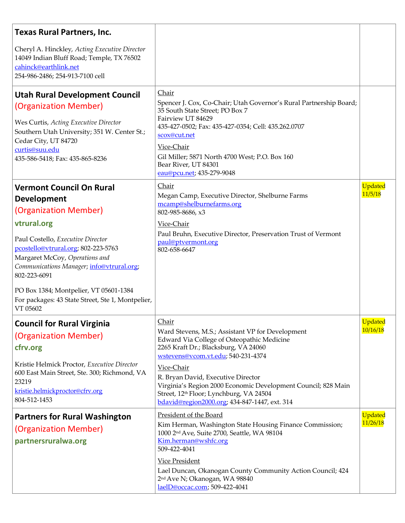| <b>Texas Rural Partners, Inc.</b>                                                                                                                                                                                                                                                                                                                                                   |                                                                                                                                                                                                                                                                                                                                                                                                                    |                     |
|-------------------------------------------------------------------------------------------------------------------------------------------------------------------------------------------------------------------------------------------------------------------------------------------------------------------------------------------------------------------------------------|--------------------------------------------------------------------------------------------------------------------------------------------------------------------------------------------------------------------------------------------------------------------------------------------------------------------------------------------------------------------------------------------------------------------|---------------------|
| Cheryl A. Hinckley, Acting Executive Director<br>14049 Indian Bluff Road; Temple, TX 76502<br>cahinck@earthlink.net<br>254-986-2486; 254-913-7100 cell                                                                                                                                                                                                                              |                                                                                                                                                                                                                                                                                                                                                                                                                    |                     |
| <b>Utah Rural Development Council</b><br>(Organization Member)<br>Wes Curtis, Acting Executive Director<br>Southern Utah University; 351 W. Center St.;<br>Cedar City, UT 84720<br>curtis@suu.edu<br>435-586-5418; Fax: 435-865-8236                                                                                                                                                | Chair<br>Spencer J. Cox, Co-Chair; Utah Governor's Rural Partnership Board;<br>35 South State Street; PO Box 7<br>Fairview UT 84629<br>435-427-0502; Fax: 435-427-0354; Cell: 435.262.0707<br>scox@cut.net<br>Vice-Chair<br>Gil Miller; 5871 North 4700 West; P.O. Box 160<br>Bear River, UT 84301<br>eau@pcu.net; 435-279-9048                                                                                    |                     |
| <b>Vermont Council On Rural</b><br><b>Development</b><br>(Organization Member)<br>vtrural.org<br>Paul Costello, Executive Director<br>pcostello@vtrural.org; 802-223-5763<br>Margaret McCoy, Operations and<br>Communications Manager; info@vtrural.org;<br>802-223-6091<br>PO Box 1384; Montpelier, VT 05601-1384<br>For packages: 43 State Street, Ste 1, Montpelier,<br>VT 05602 | Chair<br>Megan Camp, Executive Director, Shelburne Farms<br>mcamp@shelburnefarms.org<br>802-985-8686, x3<br>Vice-Chair<br>Paul Bruhn, Executive Director, Preservation Trust of Vermont<br>paul@ptvermont.org<br>802-658-6647                                                                                                                                                                                      | Updated<br>11/5/18  |
| <b>Council for Rural Virginia</b><br>(Organization Member)<br>cfrv.org<br>Kristie Helmick Proctor, Executive Director<br>600 East Main Street, Ste. 300; Richmond, VA<br>23219<br>kristie.helmickproctor@cfrv.org<br>804-512-1453                                                                                                                                                   | Chair<br>Ward Stevens, M.S.; Assistant VP for Development<br>Edward Via College of Osteopathic Medicine<br>2265 Kraft Dr.; Blacksburg, VA 24060<br>wstevens@vcom.vt.edu; 540-231-4374<br>Vice-Chair<br>R. Bryan David, Executive Director<br>Virginia's Region 2000 Economic Development Council; 828 Main<br>Street, 12 <sup>th</sup> Floor; Lynchburg, VA 24504<br>bdavid@region2000.org; 434-847-1447, ext. 314 | Updated<br>10/16/18 |
| <b>Partners for Rural Washington</b><br>(Organization Member)<br>partnersruralwa.org                                                                                                                                                                                                                                                                                                | President of the Board<br>Kim Herman, Washington State Housing Finance Commission;<br>1000 2nd Ave, Suite 2700, Seattle, WA 98104<br>Kim.herman@wshfc.org<br>509-422-4041<br><b>Vice President</b><br>Lael Duncan, Okanogan County Community Action Council; 424<br>2 <sup>nd</sup> Ave N; Okanogan, WA 98840<br>laelD@occac.com; 509-422-4041                                                                     | Updated<br>11/26/18 |